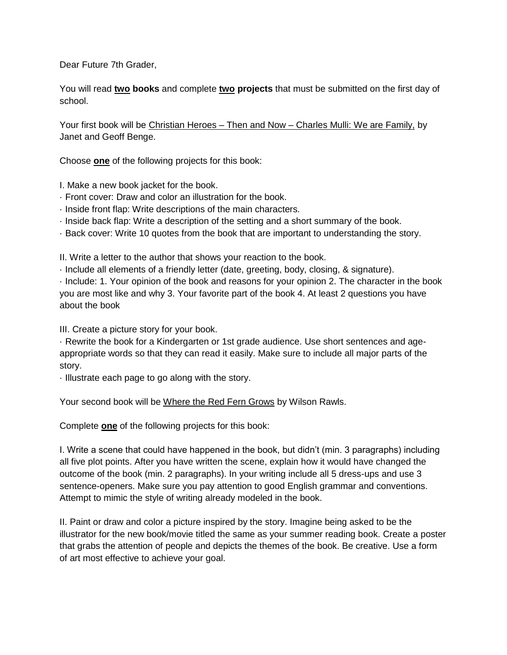Dear Future 7th Grader,

You will read **two books** and complete **two projects** that must be submitted on the first day of school.

Your first book will be Christian Heroes – Then and Now – Charles Mulli: We are Family, by Janet and Geoff Benge.

Choose **one** of the following projects for this book:

I. Make a new book jacket for the book.

- · Front cover: Draw and color an illustration for the book.
- · Inside front flap: Write descriptions of the main characters.
- · Inside back flap: Write a description of the setting and a short summary of the book.
- · Back cover: Write 10 quotes from the book that are important to understanding the story.

II. Write a letter to the author that shows your reaction to the book.

· Include all elements of a friendly letter (date, greeting, body, closing, & signature).

· Include: 1. Your opinion of the book and reasons for your opinion 2. The character in the book you are most like and why 3. Your favorite part of the book 4. At least 2 questions you have about the book

III. Create a picture story for your book.

· Rewrite the book for a Kindergarten or 1st grade audience. Use short sentences and ageappropriate words so that they can read it easily. Make sure to include all major parts of the story.

· Illustrate each page to go along with the story.

Your second book will be Where the Red Fern Grows by Wilson Rawls.

Complete **one** of the following projects for this book:

I. Write a scene that could have happened in the book, but didn't (min. 3 paragraphs) including all five plot points. After you have written the scene, explain how it would have changed the outcome of the book (min. 2 paragraphs). In your writing include all 5 dress-ups and use 3 sentence-openers. Make sure you pay attention to good English grammar and conventions. Attempt to mimic the style of writing already modeled in the book.

II. Paint or draw and color a picture inspired by the story. Imagine being asked to be the illustrator for the new book/movie titled the same as your summer reading book. Create a poster that grabs the attention of people and depicts the themes of the book. Be creative. Use a form of art most effective to achieve your goal.